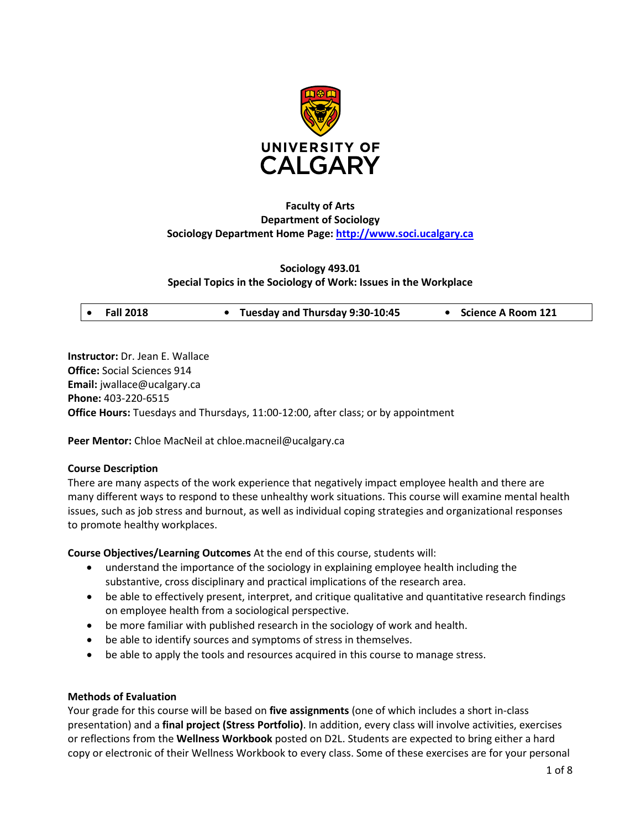

# **Faculty of Arts Department of Sociology Sociology Department Home Page: [http://www.soci.ucalgary.ca](http://www.soci.ucalgary.ca/)**

### **Sociology 493.01 Special Topics in the Sociology of Work: Issues in the Workplace**

| • Tuesday and Thursday 9:30-10:45<br>$\bullet$ Fall 2018 | • Science A Room 121 |
|----------------------------------------------------------|----------------------|
|----------------------------------------------------------|----------------------|

**Instructor:** Dr. Jean E. Wallace **Office:** Social Sciences 914 **Email:** jwallace@ucalgary.ca **Phone:** 403-220-6515 **Office Hours:** Tuesdays and Thursdays, 11:00-12:00, after class; or by appointment

**Peer Mentor:** Chloe MacNeil at chloe.macneil@ucalgary.ca

### **Course Description**

There are many aspects of the work experience that negatively impact employee health and there are many different ways to respond to these unhealthy work situations. This course will examine mental health issues, such as job stress and burnout, as well as individual coping strategies and organizational responses to promote healthy workplaces.

**Course Objectives/Learning Outcomes** At the end of this course, students will:

- understand the importance of the sociology in explaining employee health including the substantive, cross disciplinary and practical implications of the research area.
- be able to effectively present, interpret, and critique qualitative and quantitative research findings on employee health from a sociological perspective.
- be more familiar with published research in the sociology of work and health.
- be able to identify sources and symptoms of stress in themselves.
- be able to apply the tools and resources acquired in this course to manage stress.

### **Methods of Evaluation**

Your grade for this course will be based on **five assignments** (one of which includes a short in-class presentation) and a **final project (Stress Portfolio)**. In addition, every class will involve activities, exercises or reflections from the **Wellness Workbook** posted on D2L. Students are expected to bring either a hard copy or electronic of their Wellness Workbook to every class. Some of these exercises are for your personal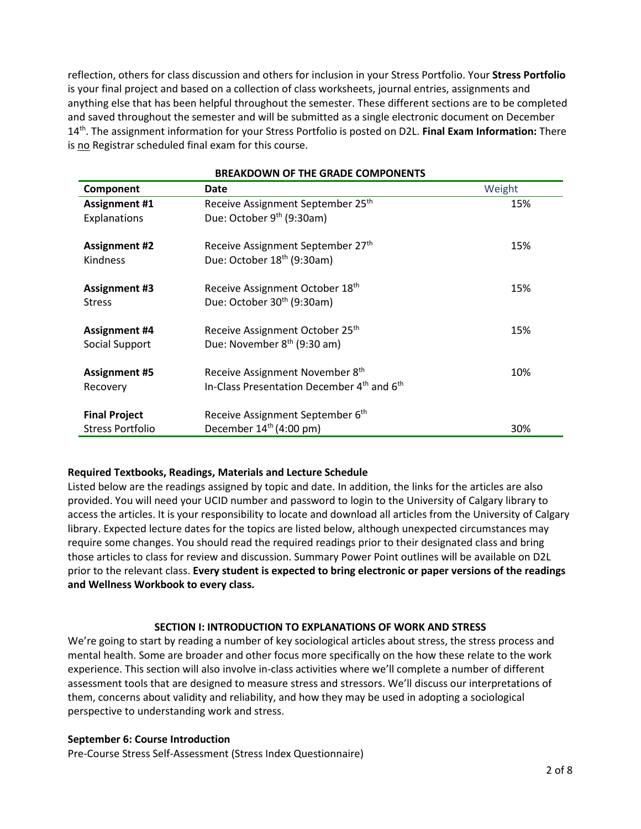reflection, others for class discussion and others for inclusion in your Stress Portfolio. Your **Stress Portfolio** is your final project and based on a collection of class worksheets, journal entries, assignments and anything else that has been helpful throughout the semester. These different sections are to be completed and saved throughout the semester and will be submitted as a single electronic document on December 14th. The assignment information for your Stress Portfolio is posted on D2L. **Final Exam Information:** There is no Registrar scheduled final exam for this course.

| <b>BREAKDOWN OF THE GRADE COMPONENTS</b>                           |                                                                                 |  |  |  |
|--------------------------------------------------------------------|---------------------------------------------------------------------------------|--|--|--|
| Date                                                               | Weight                                                                          |  |  |  |
| Receive Assignment September 25 <sup>th</sup>                      | 15%                                                                             |  |  |  |
| Due: October 9 <sup>th</sup> (9:30am)                              |                                                                                 |  |  |  |
| Receive Assignment September 27th                                  | 15%                                                                             |  |  |  |
| Due: October 18 <sup>th</sup> (9:30am)                             |                                                                                 |  |  |  |
| Receive Assignment October 18th                                    | 15%                                                                             |  |  |  |
| Due: October 30 <sup>th</sup> (9:30am)                             |                                                                                 |  |  |  |
| Receive Assignment October 25th                                    | 15%                                                                             |  |  |  |
| Due: November 8 <sup>th</sup> (9:30 am)                            |                                                                                 |  |  |  |
|                                                                    | 10%                                                                             |  |  |  |
| In-Class Presentation December 4 <sup>th</sup> and 6 <sup>th</sup> |                                                                                 |  |  |  |
|                                                                    |                                                                                 |  |  |  |
| December $14th (4:00 pm)$                                          | 30%                                                                             |  |  |  |
|                                                                    | Receive Assignment November 8th<br>Receive Assignment September 6 <sup>th</sup> |  |  |  |

# **BREAKDOWN OF THE GRADE COMPONENTS**

### **Required Textbooks, Readings, Materials and Lecture Schedule**

Listed below are the readings assigned by topic and date. In addition, the links for the articles are also provided. You will need your UCID number and password to login to the University of Calgary library to access the articles. It is your responsibility to locate and download all articles from the University of Calgary library. Expected lecture dates for the topics are listed below, although unexpected circumstances may require some changes. You should read the required readings prior to their designated class and bring those articles to class for review and discussion. Summary Power Point outlines will be available on D2L prior to the relevant class. **Every student is expected to bring electronic or paper versions of the readings and Wellness Workbook to every class.**

### **SECTION I: INTRODUCTION TO EXPLANATIONS OF WORK AND STRESS**

We're going to start by reading a number of key sociological articles about stress, the stress process and mental health. Some are broader and other focus more specifically on the how these relate to the work experience. This section will also involve in-class activities where we'll complete a number of different assessment tools that are designed to measure stress and stressors. We'll discuss our interpretations of them, concerns about validity and reliability, and how they may be used in adopting a sociological perspective to understanding work and stress.

#### **September 6: Course Introduction**

Pre-Course Stress Self-Assessment (Stress Index Questionnaire)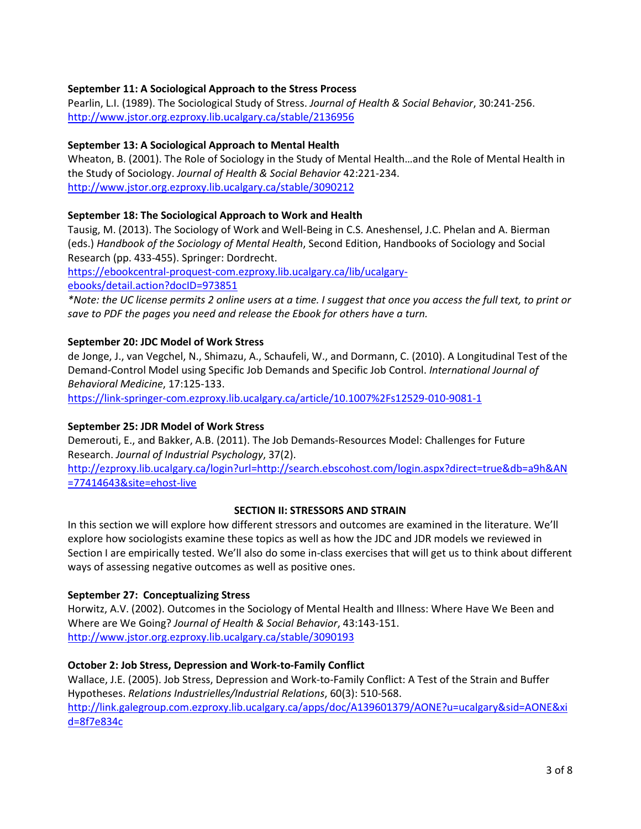# **September 11: A Sociological Approach to the Stress Process**

Pearlin, L.I. (1989). The Sociological Study of Stress. *Journal of Health & Social Behavior*, 30:241-256. <http://www.jstor.org.ezproxy.lib.ucalgary.ca/stable/2136956>

### **September 13: A Sociological Approach to Mental Health**

Wheaton, B. (2001). The Role of Sociology in the Study of Mental Health…and the Role of Mental Health in the Study of Sociology. *Journal of Health & Social Behavior* 42:221-234. <http://www.jstor.org.ezproxy.lib.ucalgary.ca/stable/3090212>

# **September 18: The Sociological Approach to Work and Health**

Tausig, M. (2013). The Sociology of Work and Well-Being in C.S. Aneshensel, J.C. Phelan and A. Bierman (eds.) *Handbook of the Sociology of Mental Health*, Second Edition, Handbooks of Sociology and Social Research (pp. 433-455). Springer: Dordrecht.

[https://ebookcentral-proquest-com.ezproxy.lib.ucalgary.ca/lib/ucalgary-](https://ebookcentral-proquest-com.ezproxy.lib.ucalgary.ca/lib/ucalgary-ebooks/detail.action?docID=973851)

[ebooks/detail.action?docID=973851](https://ebookcentral-proquest-com.ezproxy.lib.ucalgary.ca/lib/ucalgary-ebooks/detail.action?docID=973851)

*\*Note: the UC license permits 2 online users at a time. I suggest that once you access the full text, to print or save to PDF the pages you need and release the Ebook for others have a turn.*

# **September 20: JDC Model of Work Stress**

de Jonge, J., van Vegchel, N., Shimazu, A., Schaufeli, W., and Dormann, C. (2010). A Longitudinal Test of the Demand-Control Model using Specific Job Demands and Specific Job Control. *International Journal of Behavioral Medicine*, 17:125-133.

<https://link-springer-com.ezproxy.lib.ucalgary.ca/article/10.1007%2Fs12529-010-9081-1>

### **September 25: JDR Model of Work Stress**

Demerouti, E., and Bakker, A.B. (2011). The Job Demands-Resources Model: Challenges for Future Research. *Journal of Industrial Psychology*, 37(2).

[http://ezproxy.lib.ucalgary.ca/login?url=http://search.ebscohost.com/login.aspx?direct=true&db=a9h&AN](http://ezproxy.lib.ucalgary.ca/login?url=http://search.ebscohost.com/login.aspx?direct=true&db=a9h&AN=77414643&site=ehost-live) [=77414643&site=ehost-live](http://ezproxy.lib.ucalgary.ca/login?url=http://search.ebscohost.com/login.aspx?direct=true&db=a9h&AN=77414643&site=ehost-live)

### **SECTION II: STRESSORS AND STRAIN**

In this section we will explore how different stressors and outcomes are examined in the literature. We'll explore how sociologists examine these topics as well as how the JDC and JDR models we reviewed in Section I are empirically tested. We'll also do some in-class exercises that will get us to think about different ways of assessing negative outcomes as well as positive ones.

### **September 27: Conceptualizing Stress**

Horwitz, A.V. (2002). Outcomes in the Sociology of Mental Health and Illness: Where Have We Been and Where are We Going? *Journal of Health & Social Behavior*, 43:143-151. <http://www.jstor.org.ezproxy.lib.ucalgary.ca/stable/3090193>

### **October 2: Job Stress, Depression and Work-to-Family Conflict**

Wallace, J.E. (2005). Job Stress, Depression and Work-to-Family Conflict: A Test of the Strain and Buffer Hypotheses. *Relations Industrielles/Industrial Relations*, 60(3): 510-568. [http://link.galegroup.com.ezproxy.lib.ucalgary.ca/apps/doc/A139601379/AONE?u=ucalgary&sid=AONE&xi](http://link.galegroup.com.ezproxy.lib.ucalgary.ca/apps/doc/A139601379/AONE?u=ucalgary&sid=AONE&xid=8f7e834c)

[d=8f7e834c](http://link.galegroup.com.ezproxy.lib.ucalgary.ca/apps/doc/A139601379/AONE?u=ucalgary&sid=AONE&xid=8f7e834c)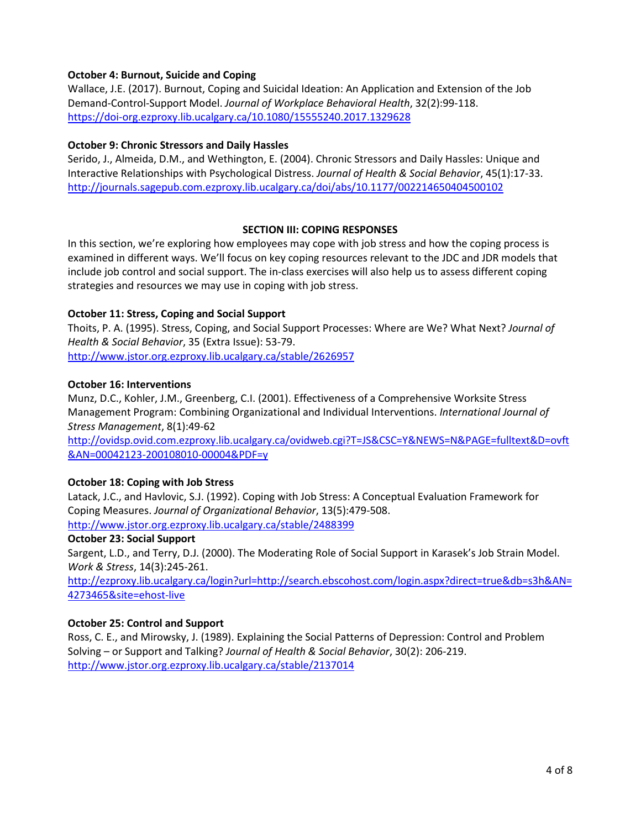# **October 4: Burnout, Suicide and Coping**

Wallace, J.E. (2017). Burnout, Coping and Suicidal Ideation: An Application and Extension of the Job Demand-Control-Support Model. *Journal of Workplace Behavioral Health*, 32(2):99-118. <https://doi-org.ezproxy.lib.ucalgary.ca/10.1080/15555240.2017.1329628>

### **October 9: Chronic Stressors and Daily Hassles**

Serido, J., Almeida, D.M., and Wethington, E. (2004). Chronic Stressors and Daily Hassles: Unique and Interactive Relationships with Psychological Distress. *Journal of Health & Social Behavior*, 45(1):17-33. <http://journals.sagepub.com.ezproxy.lib.ucalgary.ca/doi/abs/10.1177/002214650404500102>

### **SECTION III: COPING RESPONSES**

In this section, we're exploring how employees may cope with job stress and how the coping process is examined in different ways. We'll focus on key coping resources relevant to the JDC and JDR models that include job control and social support. The in-class exercises will also help us to assess different coping strategies and resources we may use in coping with job stress.

### **October 11: Stress, Coping and Social Support**

Thoits, P. A. (1995). Stress, Coping, and Social Support Processes: Where are We? What Next? *Journal of Health & Social Behavior*, 35 (Extra Issue): 53-79.

<http://www.jstor.org.ezproxy.lib.ucalgary.ca/stable/2626957>

#### **October 16: Interventions**

Munz, D.C., Kohler, J.M., Greenberg, C.I. (2001). Effectiveness of a Comprehensive Worksite Stress Management Program: Combining Organizational and Individual Interventions. *International Journal of Stress Management*, 8(1):49-62

[http://ovidsp.ovid.com.ezproxy.lib.ucalgary.ca/ovidweb.cgi?T=JS&CSC=Y&NEWS=N&PAGE=fulltext&D=ovft](http://ovidsp.ovid.com.ezproxy.lib.ucalgary.ca/ovidweb.cgi?T=JS&CSC=Y&NEWS=N&PAGE=fulltext&D=ovft&AN=00042123-200108010-00004&PDF=y) [&AN=00042123-200108010-00004&PDF=y](http://ovidsp.ovid.com.ezproxy.lib.ucalgary.ca/ovidweb.cgi?T=JS&CSC=Y&NEWS=N&PAGE=fulltext&D=ovft&AN=00042123-200108010-00004&PDF=y)

### **October 18: Coping with Job Stress**

Latack, J.C., and Havlovic, S.J. (1992). Coping with Job Stress: A Conceptual Evaluation Framework for Coping Measures. *Journal of Organizational Behavior*, 13(5):479-508. <http://www.jstor.org.ezproxy.lib.ucalgary.ca/stable/2488399>

### **October 23: Social Support**

Sargent, L.D., and Terry, D.J. (2000). The Moderating Role of Social Support in Karasek's Job Strain Model. *Work & Stress*, 14(3):245-261.

[http://ezproxy.lib.ucalgary.ca/login?url=http://search.ebscohost.com/login.aspx?direct=true&db=s3h&AN=](http://ezproxy.lib.ucalgary.ca/login?url=http://search.ebscohost.com/login.aspx?direct=true&db=s3h&AN=4273465&site=ehost-live) [4273465&site=ehost-live](http://ezproxy.lib.ucalgary.ca/login?url=http://search.ebscohost.com/login.aspx?direct=true&db=s3h&AN=4273465&site=ehost-live)

### **October 25: Control and Support**

Ross, C. E., and Mirowsky, J. (1989). Explaining the Social Patterns of Depression: Control and Problem Solving – or Support and Talking? *Journal of Health & Social Behavior*, 30(2): 206-219. <http://www.jstor.org.ezproxy.lib.ucalgary.ca/stable/2137014>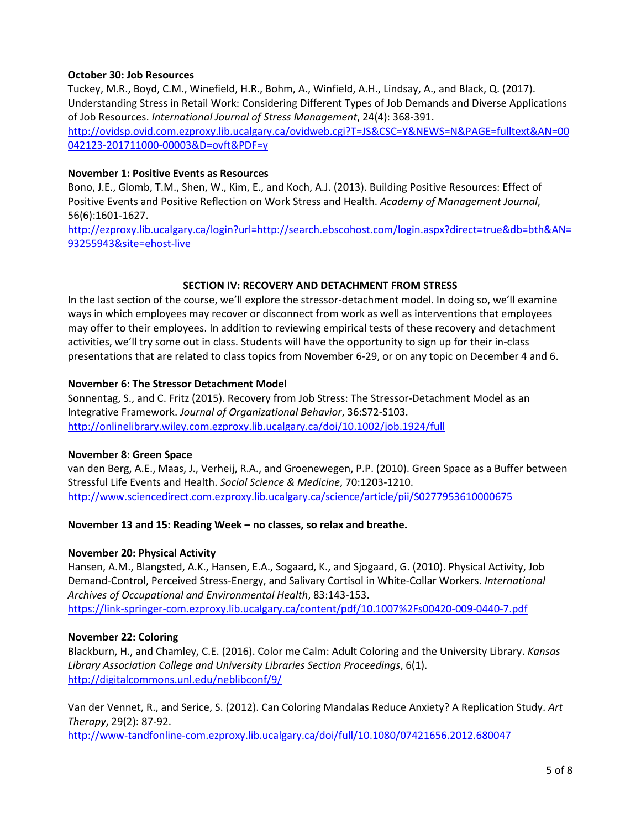### **October 30: Job Resources**

Tuckey, M.R., Boyd, C.M., Winefield, H.R., Bohm, A., Winfield, A.H., Lindsay, A., and Black, Q. (2017). Understanding Stress in Retail Work: Considering Different Types of Job Demands and Diverse Applications of Job Resources. *International Journal of Stress Management*, 24(4): 368-391. [http://ovidsp.ovid.com.ezproxy.lib.ucalgary.ca/ovidweb.cgi?T=JS&CSC=Y&NEWS=N&PAGE=fulltext&AN=00](http://ovidsp.ovid.com.ezproxy.lib.ucalgary.ca/ovidweb.cgi?T=JS&CSC=Y&NEWS=N&PAGE=fulltext&AN=00042123-201711000-00003&D=ovft&PDF=y) [042123-201711000-00003&D=ovft&PDF=y](http://ovidsp.ovid.com.ezproxy.lib.ucalgary.ca/ovidweb.cgi?T=JS&CSC=Y&NEWS=N&PAGE=fulltext&AN=00042123-201711000-00003&D=ovft&PDF=y)

#### **November 1: Positive Events as Resources**

Bono, J.E., Glomb, T.M., Shen, W., Kim, E., and Koch, A.J. (2013). Building Positive Resources: Effect of Positive Events and Positive Reflection on Work Stress and Health. *Academy of Management Journal*, 56(6):1601-1627.

[http://ezproxy.lib.ucalgary.ca/login?url=http://search.ebscohost.com/login.aspx?direct=true&db=bth&AN=](http://ezproxy.lib.ucalgary.ca/login?url=http://search.ebscohost.com/login.aspx?direct=true&db=bth&AN=93255943&site=ehost-live) [93255943&site=ehost-live](http://ezproxy.lib.ucalgary.ca/login?url=http://search.ebscohost.com/login.aspx?direct=true&db=bth&AN=93255943&site=ehost-live)

### **SECTION IV: RECOVERY AND DETACHMENT FROM STRESS**

In the last section of the course, we'll explore the stressor-detachment model. In doing so, we'll examine ways in which employees may recover or disconnect from work as well as interventions that employees may offer to their employees. In addition to reviewing empirical tests of these recovery and detachment activities, we'll try some out in class. Students will have the opportunity to sign up for their in-class presentations that are related to class topics from November 6-29, or on any topic on December 4 and 6.

#### **November 6: The Stressor Detachment Model**

Sonnentag, S., and C. Fritz (2015). Recovery from Job Stress: The Stressor-Detachment Model as an Integrative Framework. *Journal of Organizational Behavior*, 36:S72-S103. <http://onlinelibrary.wiley.com.ezproxy.lib.ucalgary.ca/doi/10.1002/job.1924/full>

### **November 8: Green Space**

van den Berg, A.E., Maas, J., Verheij, R.A., and Groenewegen, P.P. (2010). Green Space as a Buffer between Stressful Life Events and Health. *Social Science & Medicine*, 70:1203-1210. <http://www.sciencedirect.com.ezproxy.lib.ucalgary.ca/science/article/pii/S0277953610000675>

### **November 13 and 15: Reading Week – no classes, so relax and breathe.**

#### **November 20: Physical Activity**

Hansen, A.M., Blangsted, A.K., Hansen, E.A., Sogaard, K., and Sjogaard, G. (2010). Physical Activity, Job Demand-Control, Perceived Stress-Energy, and Salivary Cortisol in White-Collar Workers. *International Archives of Occupational and Environmental Health*, 83:143-153. <https://link-springer-com.ezproxy.lib.ucalgary.ca/content/pdf/10.1007%2Fs00420-009-0440-7.pdf>

### **November 22: Coloring**

Blackburn, H., and Chamley, C.E. (2016). Color me Calm: Adult Coloring and the University Library. *Kansas Library Association College and University Libraries Section Proceedings*, 6(1). <http://digitalcommons.unl.edu/neblibconf/9/>

Van der Vennet, R., and Serice, S. (2012). Can Coloring Mandalas Reduce Anxiety? A Replication Study. *Art Therapy*, 29(2): 87-92.

<http://www-tandfonline-com.ezproxy.lib.ucalgary.ca/doi/full/10.1080/07421656.2012.680047>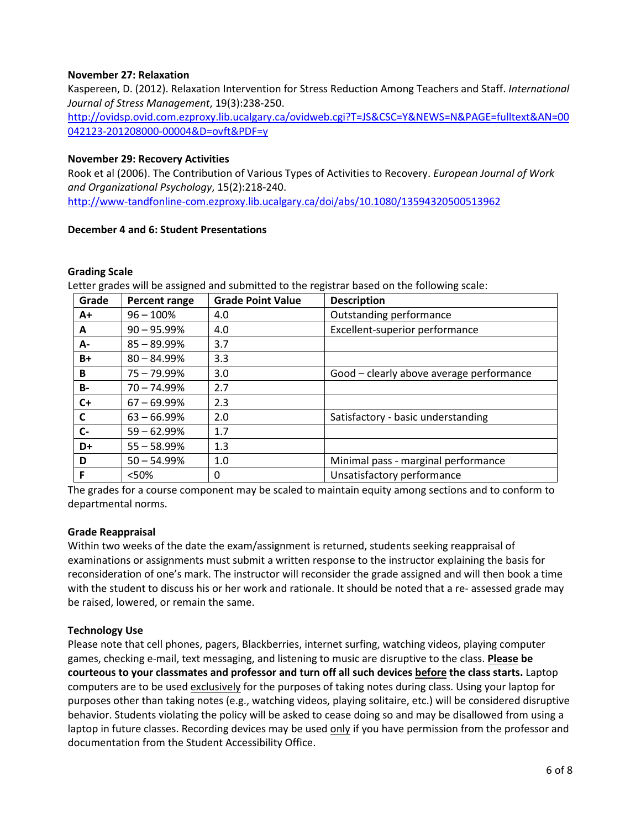### **November 27: Relaxation**

Kaspereen, D. (2012). Relaxation Intervention for Stress Reduction Among Teachers and Staff. *International Journal of Stress Management*, 19(3):238-250.

[http://ovidsp.ovid.com.ezproxy.lib.ucalgary.ca/ovidweb.cgi?T=JS&CSC=Y&NEWS=N&PAGE=fulltext&AN=00](http://ovidsp.ovid.com.ezproxy.lib.ucalgary.ca/ovidweb.cgi?T=JS&CSC=Y&NEWS=N&PAGE=fulltext&AN=00042123-201208000-00004&D=ovft&PDF=y) [042123-201208000-00004&D=ovft&PDF=y](http://ovidsp.ovid.com.ezproxy.lib.ucalgary.ca/ovidweb.cgi?T=JS&CSC=Y&NEWS=N&PAGE=fulltext&AN=00042123-201208000-00004&D=ovft&PDF=y)

#### **November 29: Recovery Activities**

Rook et al (2006). The Contribution of Various Types of Activities to Recovery. *European Journal of Work and Organizational Psychology*, 15(2):218-240.

<http://www-tandfonline-com.ezproxy.lib.ucalgary.ca/doi/abs/10.1080/13594320500513962>

### **December 4 and 6: Student Presentations**

#### **Grading Scale**

Letter grades will be assigned and submitted to the registrar based on the following scale:

| Grade     | Percent range  | <b>Grade Point Value</b> | <b>Description</b>                       |
|-----------|----------------|--------------------------|------------------------------------------|
| A+        | $96 - 100\%$   | 4.0                      | Outstanding performance                  |
| A         | $90 - 95.99%$  | 4.0                      | Excellent-superior performance           |
| A-        | $85 - 89.99%$  | 3.7                      |                                          |
| $B+$      | $80 - 84.99%$  | 3.3                      |                                          |
| B         | $75 - 79.99\%$ | 3.0                      | Good - clearly above average performance |
| <b>B-</b> | $70 - 74.99\%$ | 2.7                      |                                          |
| $C+$      | $67 - 69.99\%$ | 2.3                      |                                          |
| C         | $63 - 66.99%$  | 2.0                      | Satisfactory - basic understanding       |
| $C-$      | $59 - 62.99\%$ | 1.7                      |                                          |
| D+        | $55 - 58.99%$  | 1.3                      |                                          |
| D         | $50 - 54.99%$  | 1.0                      | Minimal pass - marginal performance      |
| F         | < 50%          | 0                        | Unsatisfactory performance               |

The grades for a course component may be scaled to maintain equity among sections and to conform to departmental norms.

### **Grade Reappraisal**

Within two weeks of the date the exam/assignment is returned, students seeking reappraisal of examinations or assignments must submit a written response to the instructor explaining the basis for reconsideration of one's mark. The instructor will reconsider the grade assigned and will then book a time with the student to discuss his or her work and rationale. It should be noted that a re- assessed grade may be raised, lowered, or remain the same.

### **Technology Use**

Please note that cell phones, pagers, Blackberries, internet surfing, watching videos, playing computer games, checking e-mail, text messaging, and listening to music are disruptive to the class. **Please be courteous to your classmates and professor and turn off all such devices before the class starts.** Laptop computers are to be used exclusively for the purposes of taking notes during class. Using your laptop for purposes other than taking notes (e.g., watching videos, playing solitaire, etc.) will be considered disruptive behavior. Students violating the policy will be asked to cease doing so and may be disallowed from using a laptop in future classes. Recording devices may be used only if you have permission from the professor and documentation from the Student Accessibility Office.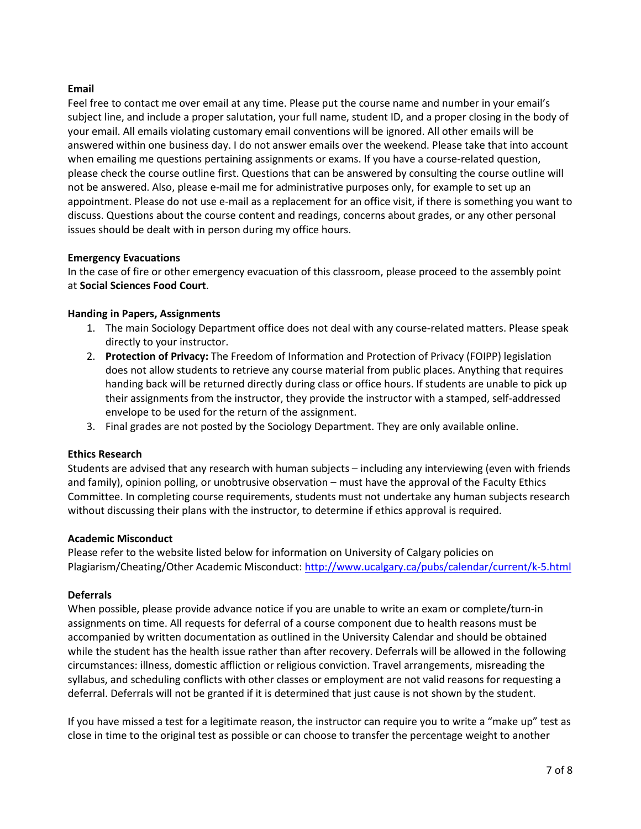### **Email**

Feel free to contact me over email at any time. Please put the course name and number in your email's subject line, and include a proper salutation, your full name, student ID, and a proper closing in the body of your email. All emails violating customary email conventions will be ignored. All other emails will be answered within one business day. I do not answer emails over the weekend. Please take that into account when emailing me questions pertaining assignments or exams. If you have a course-related question, please check the course outline first. Questions that can be answered by consulting the course outline will not be answered. Also, please e-mail me for administrative purposes only, for example to set up an appointment. Please do not use e-mail as a replacement for an office visit, if there is something you want to discuss. Questions about the course content and readings, concerns about grades, or any other personal issues should be dealt with in person during my office hours.

### **Emergency Evacuations**

In the case of fire or other emergency evacuation of this classroom, please proceed to the assembly point at **Social Sciences Food Court**.

### **Handing in Papers, Assignments**

- 1. The main Sociology Department office does not deal with any course-related matters. Please speak directly to your instructor.
- 2. **Protection of Privacy:** The Freedom of Information and Protection of Privacy (FOIPP) legislation does not allow students to retrieve any course material from public places. Anything that requires handing back will be returned directly during class or office hours. If students are unable to pick up their assignments from the instructor, they provide the instructor with a stamped, self-addressed envelope to be used for the return of the assignment.
- 3. Final grades are not posted by the Sociology Department. They are only available online.

### **Ethics Research**

Students are advised that any research with human subjects – including any interviewing (even with friends and family), opinion polling, or unobtrusive observation – must have the approval of the Faculty Ethics Committee. In completing course requirements, students must not undertake any human subjects research without discussing their plans with the instructor, to determine if ethics approval is required.

### **Academic Misconduct**

Please refer to the website listed below for information on University of Calgary policies on Plagiarism/Cheating/Other Academic Misconduct:<http://www.ucalgary.ca/pubs/calendar/current/k-5.html>

### **Deferrals**

When possible, please provide advance notice if you are unable to write an exam or complete/turn-in assignments on time. All requests for deferral of a course component due to health reasons must be accompanied by written documentation as outlined in the University Calendar and should be obtained while the student has the health issue rather than after recovery. Deferrals will be allowed in the following circumstances: illness, domestic affliction or religious conviction. Travel arrangements, misreading the syllabus, and scheduling conflicts with other classes or employment are not valid reasons for requesting a deferral. Deferrals will not be granted if it is determined that just cause is not shown by the student.

If you have missed a test for a legitimate reason, the instructor can require you to write a "make up" test as close in time to the original test as possible or can choose to transfer the percentage weight to another